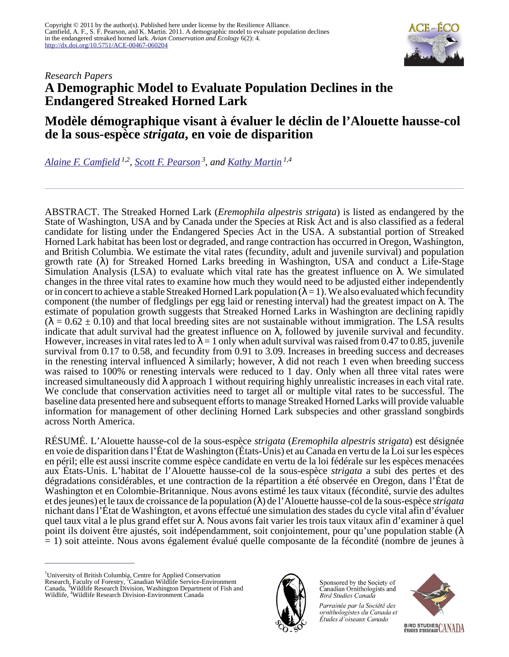

# *Research Papers* **A Demographic Model to Evaluate Population Declines in the Endangered Streaked Horned Lark**

# **Modèle démographique visant à évaluer le déclin de l'Alouette hausse-col de la sous-espèce** *strigata***, en voie de disparition**

*[Alaine F. Camfield](mailto:acamfield@gmail.com) 1,2 , [Scott F. Pearson](mailto:scott.pearson@dfw.wa.gov)<sup>3</sup>, and [Kathy Martin](mailto:kmartin@interchange.ubc.ca) 1,4*

ABSTRACT. The Streaked Horned Lark (*Eremophila alpestris strigata*) is listed as endangered by the State of Washington, USA and by Canada under the Species at Risk Act and is also classified as a federal candidate for listing under the Endangered Species Act in the USA. A substantial portion of Streaked Horned Lark habitat has been lost or degraded, and range contraction has occurred in Oregon, Washington, and British Columbia. We estimate the vital rates (fecundity, adult and juvenile survival) and population growth rate  $(\lambda)$  for Streaked Horned Larks breeding in Washington, USA and conduct a Life-Stage Simulation Analysis (LSA) to evaluate which vital rate has the greatest influence on λ. We simulated changes in the three vital rates to examine how much they would need to be adjusted either independently or in concert to achieve a stable Streaked Horned Lark population ( $\lambda = 1$ ). We also evaluated which fecundity component (the number of fledglings per egg laid or renesting interval) had the greatest impact on λ. The estimate of population growth suggests that Streaked Horned Larks in Washington are declining rapidly  $(\lambda = 0.62 \pm 0.10)$  and that local breeding sites are not sustainable without immigration. The LSA results indicate that adult survival had the greatest influence on  $\lambda$ , followed by juvenile survival and fecundity. However, increases in vital rates led to  $\lambda = 1$  only when adult survival was raised from 0.47 to 0.85, juvenile survival from 0.17 to 0.58, and fecundity from 0.91 to 3.09. Increases in breeding success and decreases in the renesting interval influenced  $\lambda$  similarly; however,  $\lambda$  did not reach 1 even when breeding success was raised to 100% or renesting intervals were reduced to 1 day. Only when all three vital rates were increased simultaneously did  $\lambda$  approach 1 without requiring highly unrealistic increases in each vital rate. We conclude that conservation activities need to target all or multiple vital rates to be successful. The baseline data presented here and subsequent efforts to manage Streaked Horned Larks will provide valuable information for management of other declining Horned Lark subspecies and other grassland songbirds across North America.

RÉSUMÉ. L'Alouette hausse-col de la sous-espèce *strigata* (*Eremophila alpestris strigata*) est désignée en voie de disparition dans l'État de Washington (États-Unis) et au Canada en vertu de la Loi sur les espèces en péril; elle est aussi inscrite comme espèce candidate en vertu de la loi fédérale sur les espèces menacées aux États-Unis. L'habitat de l'Alouette hausse-col de la sous-espèce *strigata* a subi des pertes et des dégradations considérables, et une contraction de la répartition a été observée en Oregon, dans l'État de Washington et en Colombie-Britannique. Nous avons estimé les taux vitaux (fécondité, survie des adultes et des jeunes) et le taux de croissance de la population (λ) de l'Alouette hausse-col de la sous-espèce *strigata* nichant dans l'État de Washington, et avons effectué une simulation des stades du cycle vital afin d'évaluer quel taux vital a le plus grand effet sur λ. Nous avons fait varier les trois taux vitaux afin d'examiner à quel point ils doivent être ajustés, soit indépendamment, soit conjointement, pour qu'une population stable (λ = 1) soit atteinte. Nous avons également évalué quelle composante de la fécondité (nombre de jeunes à

<sup>&</sup>lt;sup>1</sup>University of British Columbia, Centre for Applied Conservation Research, Faculty of Forestry, <sup>2</sup>Canadian Wildlife Service-Environment Canada, <sup>3</sup>Wildlife Research Division, Washington Department of Fish and Wildlife, <sup>4</sup>Wildlife Research Division-Environment Canada



Sponsored by the Society of Canadian Ornithologists and **Bird Studies Canada** 

Parrainée par la Société des ornithologistes du Canada et Études d'oiseaux Canada

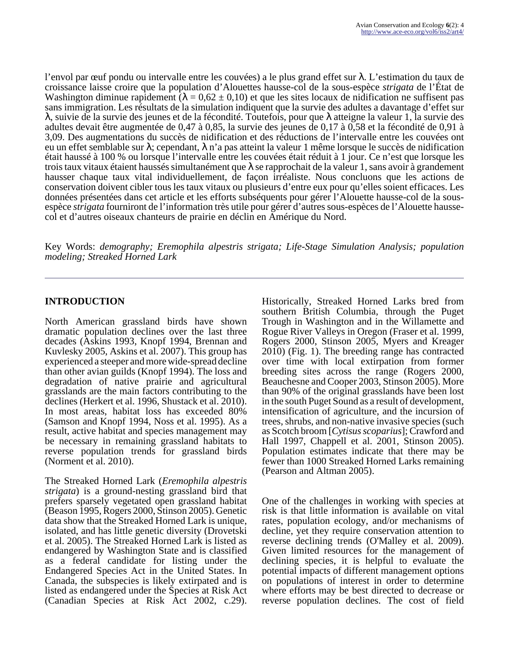l'envol par œuf pondu ou intervalle entre les couvées) a le plus grand effet sur λ. L'estimation du taux de croissance laisse croire que la population d'Alouettes hausse-col de la sous-espèce *strigata* de l'État de Washington diminue rapidement ( $\lambda = 0.62 \pm 0.10$ ) et que les sites locaux de nidification ne suffisent pas sans immigration. Les résultats de la simulation indiquent que la survie des adultes a davantage d'effet sur λ, suivie de la survie des jeunes et de la fécondité. Toutefois, pour que λ atteigne la valeur 1, la survie des adultes devait être augmentée de 0,47 à 0,85, la survie des jeunes de 0,17 à 0,58 et la fécondité de 0,91 à 3,09. Des augmentations du succès de nidification et des réductions de l'intervalle entre les couvées ont eu un effet semblable sur λ; cependant, λ n'a pas atteint la valeur 1 même lorsque le succès de nidification était haussé à 100 % ou lorsque l'intervalle entre les couvées était réduit à 1 jour. Ce n'est que lorsque les trois taux vitaux étaient haussés simultanément que  $\lambda$  se rapprochait de la valeur 1, sans avoir à grandement hausser chaque taux vital individuellement, de façon irréaliste. Nous concluons que les actions de conservation doivent cibler tous les taux vitaux ou plusieurs d'entre eux pour qu'elles soient efficaces. Les données présentées dans cet article et les efforts subséquents pour gérer l'Alouette hausse-col de la sousespèce *strigata* fourniront de l'information très utile pour gérer d'autres sous-espèces de l'Alouette haussecol et d'autres oiseaux chanteurs de prairie en déclin en Amérique du Nord.

Key Words: *demography; Eremophila alpestris strigata; Life-Stage Simulation Analysis; population modeling; Streaked Horned Lark*

### **INTRODUCTION**

North American grassland birds have shown dramatic population declines over the last three decades (Askins 1993, Knopf 1994, Brennan and Kuvlesky 2005, Askins et al. 2007). This group has experienced a steeper and more wide-spread decline than other avian guilds (Knopf 1994). The loss and degradation of native prairie and agricultural grasslands are the main factors contributing to the declines (Herkert et al. 1996, Shustack et al. 2010). In most areas, habitat loss has exceeded 80% (Samson and Knopf 1994, Noss et al. 1995). As a result, active habitat and species management may be necessary in remaining grassland habitats to reverse population trends for grassland birds (Norment et al. 2010).

The Streaked Horned Lark (*Eremophila alpestris strigata*) is a ground-nesting grassland bird that prefers sparsely vegetated open grassland habitat (Beason 1995, Rogers 2000, Stinson 2005). Genetic data show that the Streaked Horned Lark is unique, isolated, and has little genetic diversity (Drovetski et al. 2005). The Streaked Horned Lark is listed as endangered by Washington State and is classified as a federal candidate for listing under the Endangered Species Act in the United States. In Canada, the subspecies is likely extirpated and is listed as endangered under the Species at Risk Act (Canadian Species at Risk Act 2002, c.29).

Historically, Streaked Horned Larks bred from southern British Columbia, through the Puget Trough in Washington and in the Willamette and Rogue River Valleys in Oregon (Fraser et al. 1999, Rogers 2000, Stinson 2005, Myers and Kreager 2010) (Fig. 1). The breeding range has contracted over time with local extirpation from former breeding sites across the range (Rogers 2000, Beauchesne and Cooper 2003, Stinson 2005). More than 90% of the original grasslands have been lost in the south Puget Sound as a result of development, intensification of agriculture, and the incursion of trees, shrubs, and non-native invasive species (such as Scotch broom [*Cytisus scoparius*]; Crawford and Hall 1997, Chappell et al. 2001, Stinson 2005). Population estimates indicate that there may be fewer than 1000 Streaked Horned Larks remaining (Pearson and Altman 2005).

One of the challenges in working with species at risk is that little information is available on vital rates, population ecology, and/or mechanisms of decline, yet they require conservation attention to reverse declining trends (O'Malley et al. 2009). Given limited resources for the management of declining species, it is helpful to evaluate the potential impacts of different management options on populations of interest in order to determine where efforts may be best directed to decrease or reverse population declines. The cost of field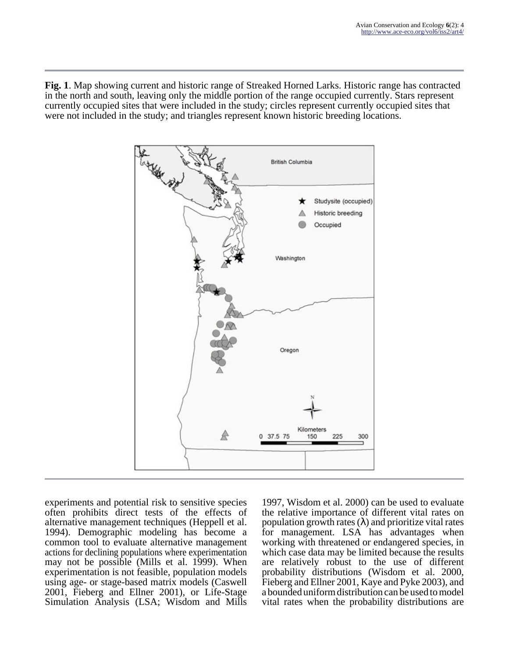**Fig. 1**. Map showing current and historic range of Streaked Horned Larks. Historic range has contracted in the north and south, leaving only the middle portion of the range occupied currently. Stars represent currently occupied sites that were included in the study; circles represent currently occupied sites that were not included in the study; and triangles represent known historic breeding locations.



experiments and potential risk to sensitive species often prohibits direct tests of the effects of alternative management techniques (Heppell et al. 1994). Demographic modeling has become a common tool to evaluate alternative management actions for declining populations where experimentation may not be possible (Mills et al. 1999). When experimentation is not feasible, population models using age- or stage-based matrix models (Caswell 2001, Fieberg and Ellner 2001), or Life-Stage Simulation Analysis (LSA; Wisdom and Mills

1997, Wisdom et al. 2000) can be used to evaluate the relative importance of different vital rates on population growth rates  $(\lambda)$  and prioritize vital rates for management. LSA has advantages when working with threatened or endangered species, in which case data may be limited because the results are relatively robust to the use of different probability distributions (Wisdom et al. 2000, Fieberg and Ellner 2001, Kaye and Pyke 2003), and a bounded uniform distribution can be used to model vital rates when the probability distributions are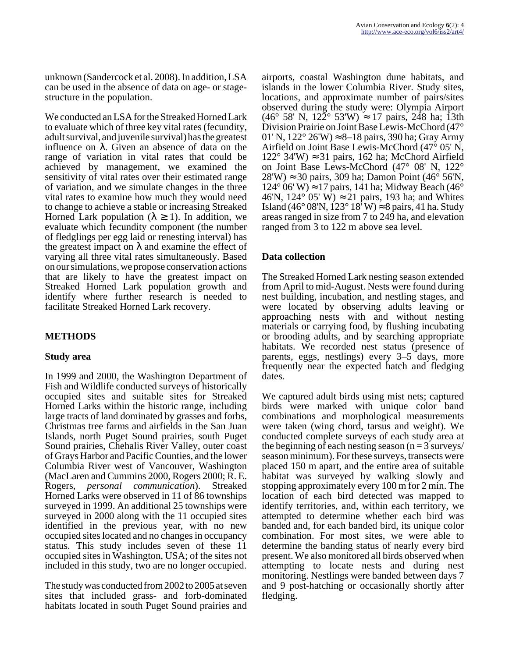unknown (Sandercock et al. 2008). In addition, LSA can be used in the absence of data on age- or stagestructure in the population.

We conducted an LSA for the Streaked Horned Lark to evaluate which of three key vital rates (fecundity, adult survival, and juvenile survival) has the greatest influence on λ. Given an absence of data on the range of variation in vital rates that could be achieved by management, we examined the sensitivity of vital rates over their estimated range of variation, and we simulate changes in the three vital rates to examine how much they would need to change to achieve a stable or increasing Streaked Horned Lark population ( $\lambda \geq 1$ ). In addition, we evaluate which fecundity component (the number of fledglings per egg laid or renesting interval) has the greatest impact on  $\lambda$  and examine the effect of varying all three vital rates simultaneously. Based on our simulations, we propose conservation actions that are likely to have the greatest impact on Streaked Horned Lark population growth and identify where further research is needed to facilitate Streaked Horned Lark recovery.

# **METHODS**

## **Study area**

In 1999 and 2000, the Washington Department of Fish and Wildlife conducted surveys of historically occupied sites and suitable sites for Streaked Horned Larks within the historic range, including large tracts of land dominated by grasses and forbs, Christmas tree farms and airfields in the San Juan Islands, north Puget Sound prairies, south Puget Sound prairies, Chehalis River Valley, outer coast of Grays Harbor and Pacific Counties, and the lower Columbia River west of Vancouver, Washington (MacLaren and Cummins 2000, Rogers 2000; R. E. Rogers, *personal communication*). Streaked Horned Larks were observed in 11 of 86 townships surveyed in 1999. An additional 25 townships were surveyed in 2000 along with the 11 occupied sites identified in the previous year, with no new occupied sites located and no changes in occupancy status. This study includes seven of these 11 occupied sites in Washington, USA; of the sites not included in this study, two are no longer occupied.

The study was conducted from 2002 to 2005 at seven sites that included grass- and forb-dominated habitats located in south Puget Sound prairies and

airports, coastal Washington dune habitats, and islands in the lower Columbia River. Study sites, locations, and approximate number of pairs/sites observed during the study were: Olympia Airport  $(46° 58' N, 122° 53' W) \approx 17 \text{ pairs}, 248 \text{ ha}; 13 \text{th}$ Division Prairie on Joint Base Lewis-McChord (47° 01' N, 122° 26'W) ≈ 8–18 pairs, 390 ha; Gray Army Airfield on Joint Base Lewis-McChord (47° 05' N, 122° 34'W) ≈ 31 pairs, 162 ha; McChord Airfield on Joint Base Lews-McChord (47° 08' N, 122°  $28'W \approx 30$  pairs, 309 ha; Damon Point (46 $\degree$  56'N,  $124^{\circ}$  06' W)  $\approx$  17 pairs, 141 ha; Midway Beach (46 $^{\circ}$ ) 46'N, 124 $\degree$  05' W)  $\approx$  21 pairs, 193 ha; and Whites Island (46° 08'N, 123° 18<sup>'</sup> W) ≈ 8 pairs, 41 ha. Study areas ranged in size from 7 to 249 ha, and elevation ranged from 3 to 122 m above sea level.

## **Data collection**

The Streaked Horned Lark nesting season extended from April to mid-August. Nests were found during nest building, incubation, and nestling stages, and were located by observing adults leaving or approaching nests with and without nesting materials or carrying food, by flushing incubating or brooding adults, and by searching appropriate habitats. We recorded nest status (presence of parents, eggs, nestlings) every 3–5 days, more frequently near the expected hatch and fledging dates.

We captured adult birds using mist nets; captured birds were marked with unique color band combinations and morphological measurements were taken (wing chord, tarsus and weight). We conducted complete surveys of each study area at the beginning of each nesting season  $(n = 3$  surveys/ season minimum). For these surveys, transects were placed 150 m apart, and the entire area of suitable habitat was surveyed by walking slowly and stopping approximately every 100 m for 2 min. The location of each bird detected was mapped to identify territories, and, within each territory, we attempted to determine whether each bird was banded and, for each banded bird, its unique color combination. For most sites, we were able to determine the banding status of nearly every bird present. We also monitored all birds observed when attempting to locate nests and during nest monitoring. Nestlings were banded between days 7 and 9 post-hatching or occasionally shortly after fledging.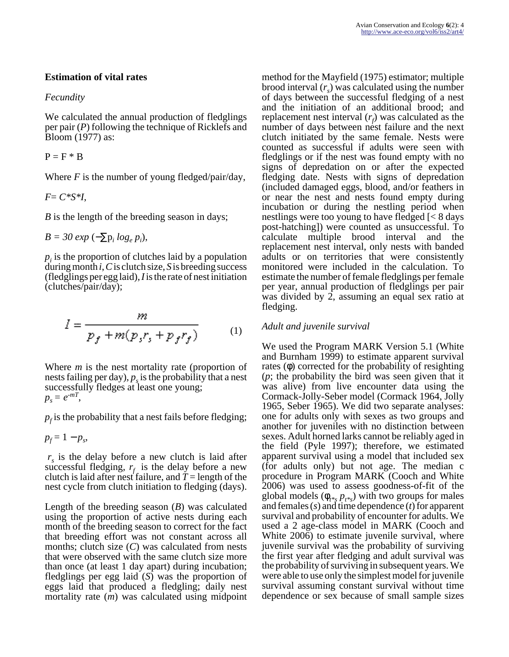### **Estimation of vital rates**

#### *Fecundity*

We calculated the annual production of fledglings per pair (*P*) following the technique of Ricklefs and Bloom (1977) as:

 $P = F * B$ 

Where *F* is the number of young fledged/pair/day,

*F*= *C\*S\*I*,

*B* is the length of the breeding season in days;

$$
B = 30 \exp(-\sum p_i \log_e p_i),
$$

 $p_i$  is the proportion of clutches laid by a population during month *i*, *C* is clutch size, *S* is breeding success (fledglings per egg laid), *I* is the rate of nest initiation (clutches/pair/day);

$$
I = \frac{m}{p_f + m(p_s r_s + p_f r_f)}
$$
 (1)

Where *m* is the nest mortality rate (proportion of nests failing per day),  $p_s$  is the probability that a nest successfully fledges at least one young;  $p_s = e^{-mT}$ 

 $p_f$  is the probability that a nest fails before fledging;

$$
p_f = 1 - p_s,
$$

 $r<sub>s</sub>$  is the delay before a new clutch is laid after successful fledging,  $r_f$  is the delay before a new clutch is laid after nest failure, and  $T =$  length of the nest cycle from clutch initiation to fledging (days).

Length of the breeding season (*B*) was calculated using the proportion of active nests during each month of the breeding season to correct for the fact that breeding effort was not constant across all months; clutch size (*C*) was calculated from nests that were observed with the same clutch size more than once (at least 1 day apart) during incubation; fledglings per egg laid (*S*) was the proportion of eggs laid that produced a fledgling; daily nest mortality rate (*m*) was calculated using midpoint

method for the Mayfield (1975) estimator; multiple brood interval (*r<sup>s</sup>* ) was calculated using the number of days between the successful fledging of a nest and the initiation of an additional brood; and replacement nest interval  $(r_f)$  was calculated as the number of days between nest failure and the next clutch initiated by the same female. Nests were counted as successful if adults were seen with fledglings or if the nest was found empty with no signs of depredation on or after the expected fledging date. Nests with signs of depredation (included damaged eggs, blood, and/or feathers in or near the nest and nests found empty during incubation or during the nestling period when nestlings were too young to have fledged [< 8 days post-hatching]) were counted as unsuccessful. To calculate multiple brood interval and the replacement nest interval, only nests with banded adults or on territories that were consistently monitored were included in the calculation. To estimate the number of female fledglings per female per year, annual production of fledglings per pair was divided by 2, assuming an equal sex ratio at fledging.

## *Adult and juvenile survival*

We used the Program MARK Version 5.1 (White and Burnham 1999) to estimate apparent survival rates (φ) corrected for the probability of resighting (*p*; the probability the bird was seen given that it was alive) from live encounter data using the Cormack-Jolly-Seber model (Cormack 1964, Jolly 1965, Seber 1965). We did two separate analyses: one for adults only with sexes as two groups and another for juveniles with no distinction between sexes. Adult horned larks cannot be reliably aged in the field (Pyle 1997); therefore, we estimated apparent survival using a model that included sex (for adults only) but not age. The median c procedure in Program MARK (Cooch and White 2006) was used to assess goodness-of-fit of the global models  $(\phi_{t^{*s}} p_{t^{*s}})$  with two groups for males and females (*s*) and time dependence (*t*) for apparent survival and probability of encounter for adults. We used a 2 age-class model in MARK (Cooch and White 2006) to estimate juvenile survival, where juvenile survival was the probability of surviving the first year after fledging and adult survival was the probability of surviving in subsequent years. We were able to use only the simplest model for juvenile survival assuming constant survival without time dependence or sex because of small sample sizes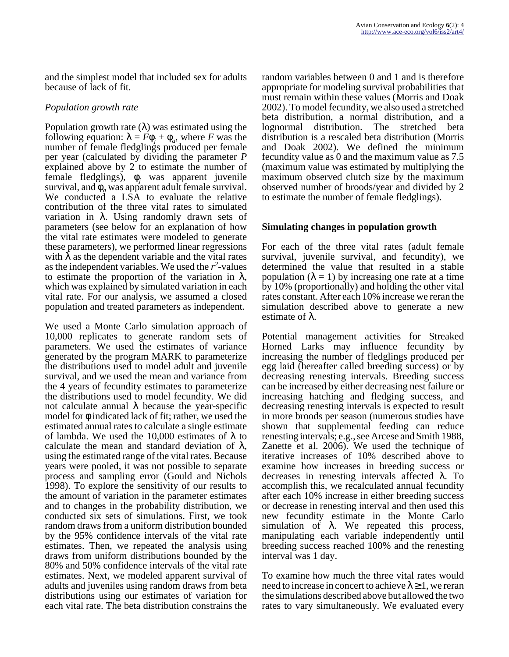and the simplest model that included sex for adults because of lack of fit.

#### *Population growth rate*

Population growth rate  $(\lambda)$  was estimated using the following equation:  $\lambda = F\phi_j + \phi_a$ , where *F* was the number of female fledglings produced per female per year (calculated by dividing the parameter *P* explained above by 2 to estimate the number of female fledglings), φ*<sup>j</sup>* was apparent juvenile survival, and  $\phi_q$  was apparent adult female survival. We conducted a LSA to evaluate the relative contribution of the three vital rates to simulated variation in λ. Using randomly drawn sets of parameters (see below for an explanation of how the vital rate estimates were modeled to generate these parameters), we performed linear regressions with  $\lambda$  as the dependent variable and the vital rates as the independent variables. We used the  $r^2$ -values to estimate the proportion of the variation in  $\lambda$ , which was explained by simulated variation in each vital rate. For our analysis, we assumed a closed population and treated parameters as independent.

We used a Monte Carlo simulation approach of 10,000 replicates to generate random sets of parameters. We used the estimates of variance generated by the program MARK to parameterize the distributions used to model adult and juvenile survival, and we used the mean and variance from the 4 years of fecundity estimates to parameterize the distributions used to model fecundity. We did not calculate annual  $\lambda$  because the year-specific model for  $\phi$  indicated lack of fit; rather, we used the estimated annual rates to calculate a single estimate of lambda. We used the 10,000 estimates of  $\lambda$  to calculate the mean and standard deviation of  $\lambda$ , using the estimated range of the vital rates. Because years were pooled, it was not possible to separate process and sampling error (Gould and Nichols 1998). To explore the sensitivity of our results to the amount of variation in the parameter estimates and to changes in the probability distribution, we conducted six sets of simulations. First, we took random draws from a uniform distribution bounded by the 95% confidence intervals of the vital rate estimates. Then, we repeated the analysis using draws from uniform distributions bounded by the 80% and 50% confidence intervals of the vital rate estimates. Next, we modeled apparent survival of adults and juveniles using random draws from beta distributions using our estimates of variation for each vital rate. The beta distribution constrains the

random variables between 0 and 1 and is therefore appropriate for modeling survival probabilities that must remain within these values (Morris and Doak 2002). To model fecundity, we also used a stretched beta distribution, a normal distribution, and a lognormal distribution. The stretched beta distribution is a rescaled beta distribution (Morris and Doak 2002). We defined the minimum fecundity value as 0 and the maximum value as 7.5 (maximum value was estimated by multiplying the maximum observed clutch size by the maximum observed number of broods/year and divided by 2 to estimate the number of female fledglings).

### **Simulating changes in population growth**

For each of the three vital rates (adult female survival, juvenile survival, and fecundity), we determined the value that resulted in a stable population  $(\lambda = 1)$  by increasing one rate at a time by 10% (proportionally) and holding the other vital rates constant. After each 10% increase we reran the simulation described above to generate a new estimate of λ.

Potential management activities for Streaked Horned Larks may influence fecundity by increasing the number of fledglings produced per egg laid (hereafter called breeding success) or by decreasing renesting intervals. Breeding success can be increased by either decreasing nest failure or increasing hatching and fledging success, and decreasing renesting intervals is expected to result in more broods per season (numerous studies have shown that supplemental feeding can reduce renesting intervals; e.g., see Arcese and Smith 1988, Zanette et al. 2006). We used the technique of iterative increases of 10% described above to examine how increases in breeding success or decreases in renesting intervals affected λ. To accomplish this, we recalculated annual fecundity after each 10% increase in either breeding success or decrease in renesting interval and then used this new fecundity estimate in the Monte Carlo simulation of λ. We repeated this process, manipulating each variable independently until breeding success reached 100% and the renesting interval was 1 day.

To examine how much the three vital rates would need to increase in concert to achieve  $\lambda \geq 1$ , we reran the simulations described above but allowed the two rates to vary simultaneously. We evaluated every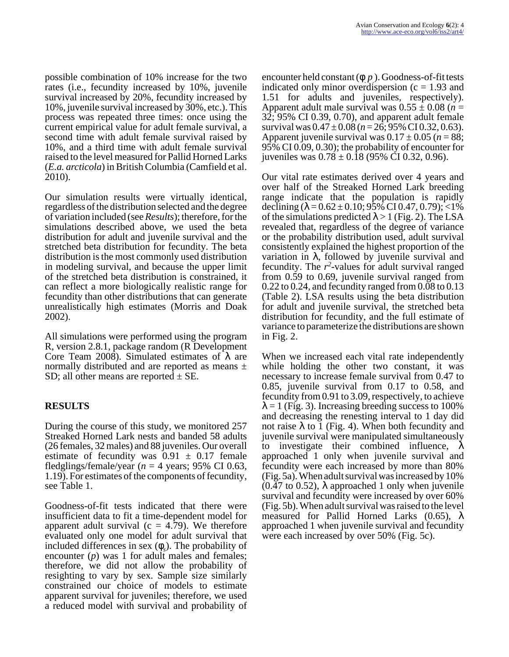possible combination of 10% increase for the two rates (i.e., fecundity increased by 10%, juvenile survival increased by 20%, fecundity increased by 10%, juvenile survival increased by 30%, etc.). This process was repeated three times: once using the current empirical value for adult female survival, a second time with adult female survival raised by 10%, and a third time with adult female survival raised to the level measured for Pallid Horned Larks (*E.a. arcticola*) in British Columbia (Camfield et al. 2010).

Our simulation results were virtually identical, regardless of the distribution selected and the degree of variation included (see *Results*); therefore, for the simulations described above, we used the beta distribution for adult and juvenile survival and the stretched beta distribution for fecundity. The beta distribution is the most commonly used distribution in modeling survival, and because the upper limit of the stretched beta distribution is constrained, it can reflect a more biologically realistic range for fecundity than other distributions that can generate unrealistically high estimates (Morris and Doak 2002).

All simulations were performed using the program R, version 2.8.1, package random (R Development Core Team 2008). Simulated estimates of  $λ$  are normally distributed and are reported as means  $\pm$ SD; all other means are reported  $\pm$  SE.

# **RESULTS**

During the course of this study, we monitored 257 Streaked Horned Lark nests and banded 58 adults (26 females, 32 males) and 88 juveniles. Our overall estimate of fecundity was  $0.91 \pm 0.17$  female fledglings/female/year ( $n = 4$  years; 95% CI 0.63, 1.19). For estimates of the components of fecundity, see Table 1.

Goodness-of-fit tests indicated that there were insufficient data to fit a time-dependent model for apparent adult survival ( $c = 4.79$ ). We therefore evaluated only one model for adult survival that included differences in sex  $(\phi_s)$ . The probability of encounter (*p*) was 1 for adult males and females; therefore, we did not allow the probability of resighting to vary by sex. Sample size similarly constrained our choice of models to estimate apparent survival for juveniles; therefore, we used a reduced model with survival and probability of

encounter held constant (φ*. p.* ). Goodness-of-fit tests indicated only minor overdispersion  $(c = 1.93$  and 1.51 for adults and juveniles, respectively). Apparent adult male survival was  $0.55 \pm 0.08$  (*n* = 32; 95% CI 0.39, 0.70), and apparent adult female survival was  $0.47 \pm 0.08$  ( $n = 26$ ; 95% CI 0.32, 0.63). Apparent juvenile survival was  $0.17 \pm 0.05$  ( $n = 88$ ; 95% CI 0.09, 0.30); the probability of encounter for juveniles was  $0.78 \pm 0.18$  (95% CI 0.32, 0.96).

Our vital rate estimates derived over 4 years and over half of the Streaked Horned Lark breeding range indicate that the population is rapidly declining  $(\lambda = 0.62 \pm 0.10; 95\% \text{ CI } 0.47, 0.79);$  <1% of the simulations predicted  $\lambda > 1$  (Fig. 2). The LSA revealed that, regardless of the degree of variance or the probability distribution used, adult survival consistently explained the highest proportion of the variation in λ, followed by juvenile survival and fecundity. The  $r^2$ -values for adult survival ranged from 0.59 to 0.69, juvenile survival ranged from 0.22 to 0.24, and fecundity ranged from 0.08 to 0.13 (Table 2). LSA results using the beta distribution for adult and juvenile survival, the stretched beta distribution for fecundity, and the full estimate of variance to parameterize the distributions are shown in Fig. 2.

When we increased each vital rate independently while holding the other two constant, it was necessary to increase female survival from 0.47 to 0.85, juvenile survival from 0.17 to 0.58, and fecundity from 0.91 to 3.09, respectively, to achieve  $\lambda = 1$  (Fig. 3). Increasing breeding success to 100% and decreasing the renesting interval to 1 day did not raise  $\lambda$  to 1 (Fig. 4). When both fecundity and juvenile survival were manipulated simultaneously to investigate their combined influence, λ approached 1 only when juvenile survival and fecundity were each increased by more than 80% (Fig. 5a). When adult survival was increased by 10%  $(0.47 \text{ to } 0.52)$ ,  $\lambda$  approached 1 only when juvenile survival and fecundity were increased by over 60% (Fig. 5b). When adult survival was raised to the level measured for Pallid Horned Larks  $(0.65)$ ,  $\lambda$ approached 1 when juvenile survival and fecundity were each increased by over 50% (Fig. 5c).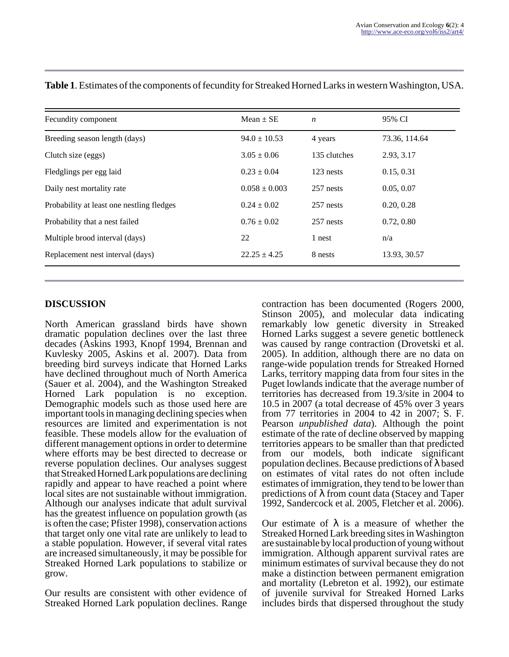| Fecundity component                       | Mean $\pm$ SE     | $\boldsymbol{n}$ | 95% CI        |
|-------------------------------------------|-------------------|------------------|---------------|
| Breeding season length (days)             | $94.0 \pm 10.53$  | 4 years          | 73.36, 114.64 |
| Clutch size (eggs)                        | $3.05 \pm 0.06$   | 135 clutches     | 2.93, 3.17    |
| Fledglings per egg laid                   | $0.23 \pm 0.04$   | 123 nests        | 0.15, 0.31    |
| Daily nest mortality rate                 | $0.058 \pm 0.003$ | 257 nests        | 0.05, 0.07    |
| Probability at least one nestling fledges | $0.24 \pm 0.02$   | 257 nests        | 0.20, 0.28    |
| Probability that a nest failed            | $0.76 \pm 0.02$   | 257 nests        | 0.72, 0.80    |
| Multiple brood interval (days)            | 22                | 1 nest           | n/a           |
| Replacement nest interval (days)          | $22.25 \pm 4.25$  | 8 nests          | 13.93, 30.57  |

**Table 1**. Estimates of the components of fecundity for Streaked Horned Larks in western Washington, USA.

#### **DISCUSSION**

North American grassland birds have shown dramatic population declines over the last three decades (Askins 1993, Knopf 1994, Brennan and Kuvlesky 2005, Askins et al. 2007). Data from breeding bird surveys indicate that Horned Larks have declined throughout much of North America (Sauer et al. 2004), and the Washington Streaked Horned Lark population is no exception. Demographic models such as those used here are important tools in managing declining species when resources are limited and experimentation is not feasible. These models allow for the evaluation of different management options in order to determine where efforts may be best directed to decrease or reverse population declines. Our analyses suggest that Streaked Horned Lark populations are declining rapidly and appear to have reached a point where local sites are not sustainable without immigration. Although our analyses indicate that adult survival has the greatest influence on population growth (as is often the case; Pfister 1998), conservation actions that target only one vital rate are unlikely to lead to a stable population. However, if several vital rates are increased simultaneously, it may be possible for Streaked Horned Lark populations to stabilize or grow.

Our results are consistent with other evidence of Streaked Horned Lark population declines. Range

contraction has been documented (Rogers 2000, Stinson 2005), and molecular data indicating remarkably low genetic diversity in Streaked Horned Larks suggest a severe genetic bottleneck was caused by range contraction (Drovetski et al. 2005). In addition, although there are no data on range-wide population trends for Streaked Horned Larks, territory mapping data from four sites in the Puget lowlands indicate that the average number of territories has decreased from 19.3/site in 2004 to 10.5 in 2007 (a total decrease of 45% over 3 years from 77 territories in 2004 to 42 in 2007; S. F. Pearson *unpublished data*). Although the point estimate of the rate of decline observed by mapping territories appears to be smaller than that predicted from our models, both indicate significant population declines. Because predictions of  $\lambda$  based on estimates of vital rates do not often include estimates of immigration, they tend to be lower than predictions of λ from count data (Stacey and Taper 1992, Sandercock et al. 2005, Fletcher et al. 2006).

Our estimate of  $\lambda$  is a measure of whether the Streaked Horned Lark breeding sites in Washington are sustainable by local production of young without immigration. Although apparent survival rates are minimum estimates of survival because they do not make a distinction between permanent emigration and mortality (Lebreton et al. 1992), our estimate of juvenile survival for Streaked Horned Larks includes birds that dispersed throughout the study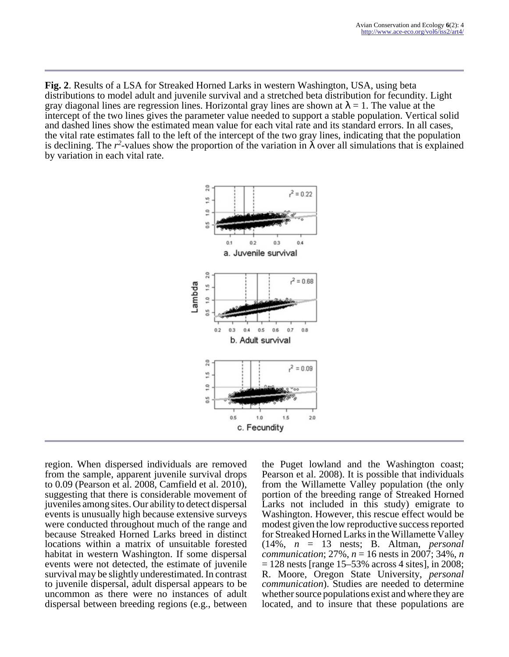**Fig. 2**. Results of a LSA for Streaked Horned Larks in western Washington, USA, using beta distributions to model adult and juvenile survival and a stretched beta distribution for fecundity. Light gray diagonal lines are regression lines. Horizontal gray lines are shown at  $\lambda = 1$ . The value at the intercept of the two lines gives the parameter value needed to support a stable population. Vertical solid and dashed lines show the estimated mean value for each vital rate and its standard errors. In all cases, the vital rate estimates fall to the left of the intercept of the two gray lines, indicating that the population is declining. The  $r^2$ -values show the proportion of the variation in  $\lambda$  over all simulations that is explained by variation in each vital rate.



region. When dispersed individuals are removed from the sample, apparent juvenile survival drops to 0.09 (Pearson et al. 2008, Camfield et al. 2010), suggesting that there is considerable movement of juveniles among sites. Our ability to detect dispersal events is unusually high because extensive surveys were conducted throughout much of the range and because Streaked Horned Larks breed in distinct locations within a matrix of unsuitable forested habitat in western Washington. If some dispersal events were not detected, the estimate of juvenile survival may be slightly underestimated. In contrast to juvenile dispersal, adult dispersal appears to be uncommon as there were no instances of adult dispersal between breeding regions (e.g., between

the Puget lowland and the Washington coast; Pearson et al. 2008). It is possible that individuals from the Willamette Valley population (the only portion of the breeding range of Streaked Horned Larks not included in this study) emigrate to Washington. However, this rescue effect would be modest given the low reproductive success reported for Streaked Horned Larks in the Willamette Valley (14%, *n* = 13 nests; B. Altman, *personal communication*; 27%, *n* = 16 nests in 2007; 34%, *n*  $= 128$  nests [range 15–53% across 4 sites], in 2008; R. Moore, Oregon State University, *personal communication*). Studies are needed to determine whether source populations exist and where they are located, and to insure that these populations are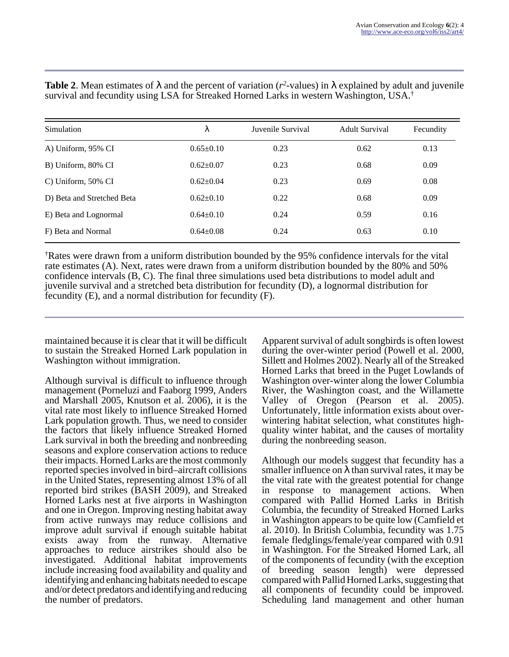| Simulation                 | λ               | Juvenile Survival | <b>Adult Survival</b> | Fecundity |
|----------------------------|-----------------|-------------------|-----------------------|-----------|
| A) Uniform, 95% CI         | $0.65 \pm 0.10$ | 0.23              | 0.62                  | 0.13      |
| B) Uniform, 80% CI         | $0.62 \pm 0.07$ | 0.23              | 0.68                  | 0.09      |
| C) Uniform, 50% CI         | $0.62 \pm 0.04$ | 0.23              | 0.69                  | 0.08      |
| D) Beta and Stretched Beta | $0.62 \pm 0.10$ | 0.22              | 0.68                  | 0.09      |
| E) Beta and Lognormal      | $0.64 \pm 0.10$ | 0.24              | 0.59                  | 0.16      |
| F) Beta and Normal         | $0.64 \pm 0.08$ | 0.24              | 0.63                  | 0.10      |

**Table 2**. Mean estimates of  $\lambda$  and the percent of variation ( $r^2$ -values) in  $\lambda$  explained by adult and juvenile survival and fecundity using LSA for Streaked Horned Larks in western Washington, USA.†

†Rates were drawn from a uniform distribution bounded by the 95% confidence intervals for the vital rate estimates (A). Next, rates were drawn from a uniform distribution bounded by the 80% and 50% confidence intervals (B, C). The final three simulations used beta distributions to model adult and juvenile survival and a stretched beta distribution for fecundity (D), a lognormal distribution for fecundity (E), and a normal distribution for fecundity (F).

maintained because it is clear that it will be difficult to sustain the Streaked Horned Lark population in Washington without immigration.

Although survival is difficult to influence through management (Porneluzi and Faaborg 1999, Anders and Marshall 2005, Knutson et al. 2006), it is the vital rate most likely to influence Streaked Horned Lark population growth. Thus, we need to consider the factors that likely influence Streaked Horned Lark survival in both the breeding and nonbreeding seasons and explore conservation actions to reduce their impacts. Horned Larks are the most commonly reported species involved in bird–aircraft collisions in the United States, representing almost 13% of all reported bird strikes (BASH 2009), and Streaked Horned Larks nest at five airports in Washington and one in Oregon. Improving nesting habitat away from active runways may reduce collisions and improve adult survival if enough suitable habitat exists away from the runway. Alternative approaches to reduce airstrikes should also be investigated. Additional habitat improvements include increasing food availability and quality and identifying and enhancing habitats needed to escape and/or detect predators and identifying and reducing the number of predators.

Apparent survival of adult songbirds is often lowest during the over-winter period (Powell et al. 2000, Sillett and Holmes 2002). Nearly all of the Streaked Horned Larks that breed in the Puget Lowlands of Washington over-winter along the lower Columbia River, the Washington coast, and the Willamette Valley of Oregon (Pearson et al. 2005). Unfortunately, little information exists about overwintering habitat selection, what constitutes highquality winter habitat, and the causes of mortality during the nonbreeding season.

Although our models suggest that fecundity has a smaller influence on  $\lambda$  than survival rates, it may be the vital rate with the greatest potential for change in response to management actions. When compared with Pallid Horned Larks in British Columbia, the fecundity of Streaked Horned Larks in Washington appears to be quite low (Camfield et al. 2010). In British Columbia, fecundity was 1.75 female fledglings/female/year compared with 0.91 in Washington. For the Streaked Horned Lark, all of the components of fecundity (with the exception of breeding season length) were depressed compared with Pallid Horned Larks, suggesting that all components of fecundity could be improved. Scheduling land management and other human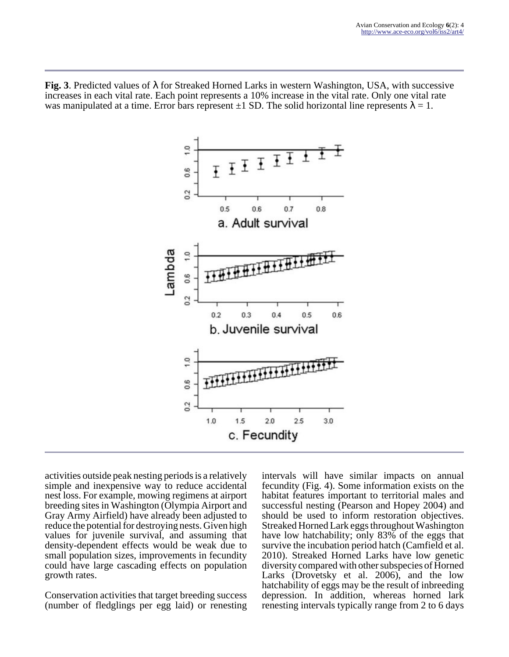**Fig. 3**. Predicted values of λ for Streaked Horned Larks in western Washington, USA, with successive increases in each vital rate. Each point represents a 10% increase in the vital rate. Only one vital rate was manipulated at a time. Error bars represent  $\pm 1$  SD. The solid horizontal line represents  $\lambda = 1$ .



activities outside peak nesting periods is a relatively simple and inexpensive way to reduce accidental nest loss. For example, mowing regimens at airport breeding sites in Washington (Olympia Airport and Gray Army Airfield) have already been adjusted to reduce the potential for destroying nests. Given high values for juvenile survival, and assuming that density-dependent effects would be weak due to small population sizes, improvements in fecundity could have large cascading effects on population growth rates.

Conservation activities that target breeding success (number of fledglings per egg laid) or renesting intervals will have similar impacts on annual fecundity (Fig. 4). Some information exists on the habitat features important to territorial males and successful nesting (Pearson and Hopey 2004) and should be used to inform restoration objectives. Streaked Horned Lark eggs throughout Washington have low hatchability; only 83% of the eggs that survive the incubation period hatch (Camfield et al. 2010). Streaked Horned Larks have low genetic diversity compared with other subspecies of Horned Larks (Drovetsky et al. 2006), and the low hatchability of eggs may be the result of inbreeding depression. In addition, whereas horned lark renesting intervals typically range from 2 to 6 days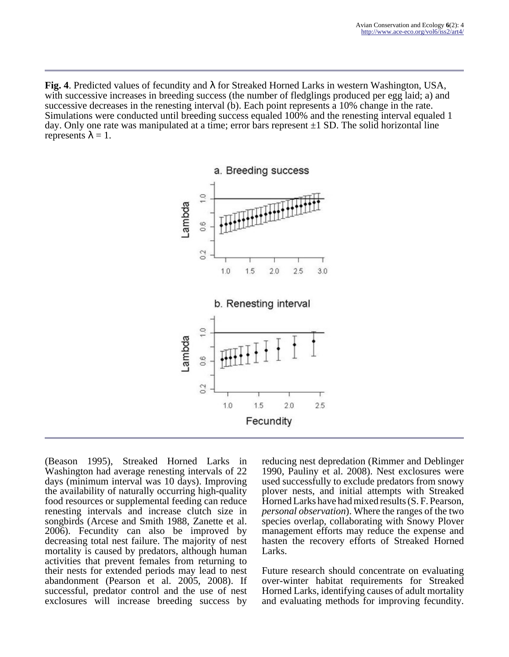**Fig. 4**. Predicted values of fecundity and λ for Streaked Horned Larks in western Washington, USA, with successive increases in breeding success (the number of fledglings produced per egg laid; a) and successive decreases in the renesting interval (b). Each point represents a 10% change in the rate. Simulations were conducted until breeding success equaled 100% and the renesting interval equaled 1 day. Only one rate was manipulated at a time; error bars represent  $\pm 1$  SD. The solid horizontal line represents  $\lambda = 1$ .



(Beason 1995), Streaked Horned Larks in Washington had average renesting intervals of 22 days (minimum interval was 10 days). Improving the availability of naturally occurring high-quality food resources or supplemental feeding can reduce renesting intervals and increase clutch size in songbirds (Arcese and Smith 1988, Zanette et al. 2006). Fecundity can also be improved by decreasing total nest failure. The majority of nest mortality is caused by predators, although human activities that prevent females from returning to their nests for extended periods may lead to nest abandonment (Pearson et al. 2005, 2008). If successful, predator control and the use of nest exclosures will increase breeding success by

reducing nest depredation (Rimmer and Deblinger 1990, Pauliny et al. 2008). Nest exclosures were used successfully to exclude predators from snowy plover nests, and initial attempts with Streaked Horned Larks have had mixed results (S. F. Pearson, *personal observation*). Where the ranges of the two species overlap, collaborating with Snowy Plover management efforts may reduce the expense and hasten the recovery efforts of Streaked Horned Larks.

Future research should concentrate on evaluating over-winter habitat requirements for Streaked Horned Larks, identifying causes of adult mortality and evaluating methods for improving fecundity.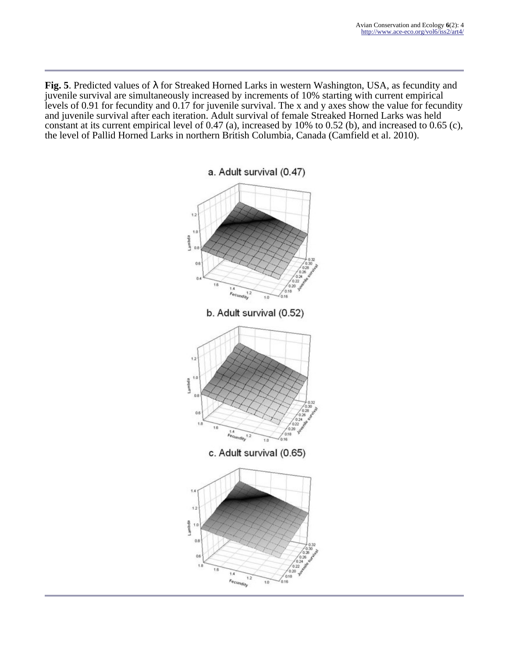**Fig. 5**. Predicted values of λ for Streaked Horned Larks in western Washington, USA, as fecundity and juvenile survival are simultaneously increased by increments of 10% starting with current empirical levels of 0.91 for fecundity and 0.17 for juvenile survival. The x and y axes show the value for fecundity and juvenile survival after each iteration. Adult survival of female Streaked Horned Larks was held constant at its current empirical level of 0.47 (a), increased by 10% to 0.52 (b), and increased to 0.65 (c), the level of Pallid Horned Larks in northern British Columbia, Canada (Camfield et al. 2010).

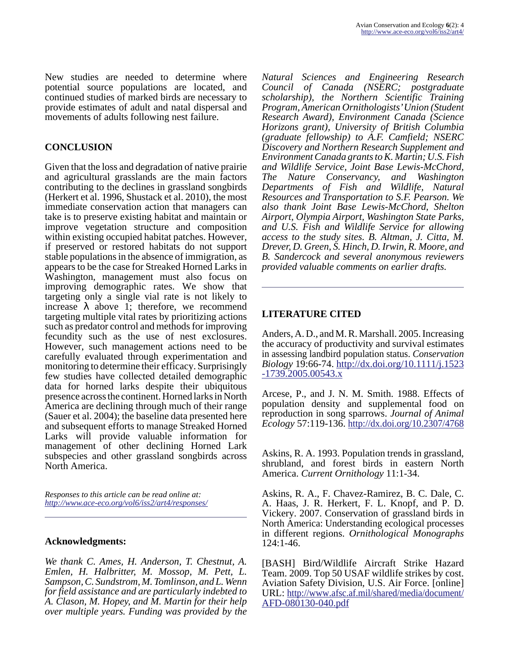New studies are needed to determine where potential source populations are located, and continued studies of marked birds are necessary to provide estimates of adult and natal dispersal and movements of adults following nest failure.

## **CONCLUSION**

Given that the loss and degradation of native prairie and agricultural grasslands are the main factors contributing to the declines in grassland songbirds (Herkert et al. 1996, Shustack et al. 2010), the most immediate conservation action that managers can take is to preserve existing habitat and maintain or improve vegetation structure and composition within existing occupied habitat patches. However, if preserved or restored habitats do not support stable populations in the absence of immigration, as appears to be the case for Streaked Horned Larks in Washington, management must also focus on improving demographic rates. We show that targeting only a single vial rate is not likely to increase  $\lambda$  above 1; therefore, we recommend targeting multiple vital rates by prioritizing actions such as predator control and methods for improving fecundity such as the use of nest exclosures. However, such management actions need to be carefully evaluated through experimentation and monitoring to determine their efficacy. Surprisingly few studies have collected detailed demographic data for horned larks despite their ubiquitous presence across the continent. Horned larks in North America are declining through much of their range (Sauer et al. 2004); the baseline data presented here and subsequent efforts to manage Streaked Horned Larks will provide valuable information for management of other declining Horned Lark subspecies and other grassland songbirds across North America.

*Responses to this article can be read online at: <http://www.ace-eco.org/vol6/iss2/art4/responses/>*

#### **Acknowledgments:**

*We thank C. Ames, H. Anderson, T. Chestnut, A. Emlen, H. Halbritter, M. Mossop, M. Pett, L. Sampson, C. Sundstrom, M. Tomlinson, and L. Wenn for field assistance and are particularly indebted to A. Clason, M. Hopey, and M. Martin for their help over multiple years. Funding was provided by the*

*Natural Sciences and Engineering Research Council of Canada (NSERC; postgraduate scholarship), the Northern Scientific Training Program, American Ornithologists' Union (Student Research Award), Environment Canada (Science Horizons grant), University of British Columbia (graduate fellowship) to A.F. Camfield; NSERC Discovery and Northern Research Supplement and Environment Canada grants to K. Martin; U.S. Fish and Wildlife Service, Joint Base Lewis-McChord, The Nature Conservancy, and Washington Departments of Fish and Wildlife, Natural Resources and Transportation to S.F. Pearson. We also thank Joint Base Lewis-McChord, Shelton Airport, Olympia Airport, Washington State Parks, and U.S. Fish and Wildlife Service for allowing access to the study sites. B. Altman, J. Citta, M. Drever, D. Green, S. Hinch, D. Irwin, R. Moore, and B. Sandercock and several anonymous reviewers provided valuable comments on earlier drafts.*

## **LITERATURE CITED**

Anders, A. D., and M. R. Marshall. 2005. Increasing the accuracy of productivity and survival estimates in assessing landbird population status. *Conservation Biology* 19:66-74. [http://dx.doi.org/10.1111/j.1523](http://dx.doi.org/10.1111/j.1523-1739.2005.00543.x) [-1739.2005.00543.x](http://dx.doi.org/10.1111/j.1523-1739.2005.00543.x)

Arcese, P., and J. N. M. Smith. 1988. Effects of population density and supplemental food on reproduction in song sparrows. *Journal of Animal Ecology* 57:119-136. <http://dx.doi.org/10.2307/4768>

Askins, R. A. 1993. Population trends in grassland, shrubland, and forest birds in eastern North America. *Current Ornithology* 11:1-34.

Askins, R. A., F. Chavez-Ramirez, B. C. Dale, C. A. Haas, J. R. Herkert, F. L. Knopf, and P. D. Vickery. 2007. Conservation of grassland birds in North America: Understanding ecological processes in different regions. *Ornithological Monographs* 124:1-46.

[BASH] Bird/Wildlife Aircraft Strike Hazard Team. 2009. Top 50 USAF wildlife strikes by cost. Aviation Safety Division, U.S. Air Force. [online] URL: [http://www.afsc.af.mil/shared/media/document/](http://www.afsc.af.mil/shared/media/document/AFD-080130-040.pdf%20Accessed%20on%20June%2029) [AFD-080130-040.pdf](http://www.afsc.af.mil/shared/media/document/AFD-080130-040.pdf%20Accessed%20on%20June%2029)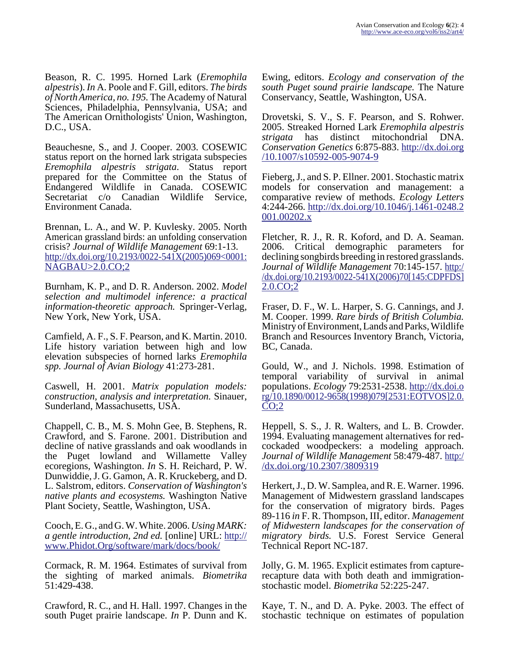Beason, R. C. 1995. Horned Lark (*Eremophila alpestris*). *In* A. Poole and F. Gill, editors. *The birds of North America, no. 195.* The Academy of Natural Sciences, Philadelphia, Pennsylvania, USA; and The American Ornithologists' Union, Washington, D.C., USA.

Beauchesne, S., and J. Cooper. 2003. COSEWIC status report on the horned lark strigata subspecies *Eremophila alpestris strigata*. Status report prepared for the Committee on the Status of Endangered Wildlife in Canada. COSEWIC Secretariat c/o Canadian Wildlife Service, Environment Canada.

Brennan, L. A., and W. P. Kuvlesky. 2005. North American grassland birds: an unfolding conservation crisis? *Journal of Wildlife Management* 69:1-13. [http://dx.doi.org/10.2193/0022-541X\(2005\)069<0001:](http://dx.doi.org/10.2193/0022-541X(2005)069<0001:NAGBAU>2.0.CO;2) [NAGBAU>2.0.CO;2](http://dx.doi.org/10.2193/0022-541X(2005)069<0001:NAGBAU>2.0.CO;2)

Burnham, K. P., and D. R. Anderson. 2002. *Model selection and multimodel inference: a practical information-theoretic approach.* Springer-Verlag, New York, New York, USA.

Camfield, A. F., S. F. Pearson, and K. Martin. 2010. Life history variation between high and low elevation subspecies of horned larks *Eremophila spp. Journal of Avian Biology* 41:273-281.

Caswell, H. 2001. *Matrix population models: construction, analysis and interpretation.* Sinauer, Sunderland, Massachusetts, USA.

Chappell, C. B., M. S. Mohn Gee, B. Stephens, R. Crawford, and S. Farone. 2001. Distribution and decline of native grasslands and oak woodlands in the Puget lowland and Willamette Valley ecoregions, Washington. *In* S. H. Reichard, P. W. Dunwiddie, J. G. Gamon, A. R. Kruckeberg, and D. L. Salstrom, editors. *Conservation of Washington's native plants and ecosystems.* Washington Native Plant Society, Seattle, Washington, USA.

Cooch, E. G., and G. W. White. 2006. *Using MARK: a gentle introduction, 2nd ed.* [online] URL: [http://](http://www.Phidot.Org/software/mark/docs/book/) [www.Phidot.Org/software/mark/docs/book/](http://www.Phidot.Org/software/mark/docs/book/)

Cormack, R. M. 1964. Estimates of survival from the sighting of marked animals. *Biometrika* 51:429-438.

Crawford, R. C., and H. Hall. 1997. Changes in the south Puget prairie landscape. *In* P. Dunn and K.

Ewing, editors. *Ecology and conservation of the south Puget sound prairie landscape.* The Nature Conservancy, Seattle, Washington, USA.

Drovetski, S. V., S. F. Pearson, and S. Rohwer. 2005. Streaked Horned Lark *Eremophila alpestris strigata* has distinct mitochondrial DNA. *Conservation Genetics* 6:875-883. [http://dx.doi.org](http://dx.doi.org/10.1007/s10592-005-9074-9) [/10.1007/s10592-005-9074-9](http://dx.doi.org/10.1007/s10592-005-9074-9)

Fieberg, J., and S. P. Ellner. 2001. Stochastic matrix models for conservation and management: a comparative review of methods. *Ecology Letters* 4:244-266. [http://dx.doi.org/10.1046/j.1461-0248.2](http://dx.doi.org/10.1046/j.1461-0248.2001.00202.x) [001.00202.x](http://dx.doi.org/10.1046/j.1461-0248.2001.00202.x)

Fletcher, R. J., R. R. Koford, and D. A. Seaman. 2006. Critical demographic parameters for declining songbirds breeding in restored grasslands. *Journal of Wildlife Management* 70:145-157. [http:/](http://dx.doi.org/10.2193/0022-541X(2006)70[145:CDPFDS]2.0.CO;2) /dx.doi.org/10.2193/0022-541X(2006)70[145:CDPFDS] [2.0.CO;2](http://dx.doi.org/10.2193/0022-541X(2006)70[145:CDPFDS]2.0.CO;2)

Fraser, D. F., W. L. Harper, S. G. Cannings, and J. M. Cooper. 1999. *Rare birds of British Columbia.* Ministry of Environment, Lands and Parks, Wildlife Branch and Resources Inventory Branch, Victoria, BC, Canada.

Gould, W., and J. Nichols. 1998. Estimation of temporal variability of survival in animal populations. *Ecology* 79:2531-2538. [http://dx.doi.o](http://dx.doi.org/10.1890/0012-9658(1998)079[2531:EOTVOS]2.0.CO;2) rg/10.1890/0012-9658(1998)079[2531:EOTVOS]2.0.  $CO;2$ 

Heppell, S. S., J. R. Walters, and L. B. Crowder. 1994. Evaluating management alternatives for redcockaded woodpeckers: a modeling approach. *Journal of Wildlife Management* 58:479-487. [http:/](http://dx.doi.org/10.2307/3809319) [/dx.doi.org/10.2307/3809319](http://dx.doi.org/10.2307/3809319)

Herkert, J., D. W. Samplea, and R. E. Warner. 1996. Management of Midwestern grassland landscapes for the conservation of migratory birds. Pages 89-116 *in* F. R. Thompson, III, editor. *Management of Midwestern landscapes for the conservation of migratory birds.* U.S. Forest Service General Technical Report NC-187.

Jolly, G. M. 1965. Explicit estimates from capturerecapture data with both death and immigrationstochastic model. *Biometrika* 52:225-247.

Kaye, T. N., and D. A. Pyke. 2003. The effect of stochastic technique on estimates of population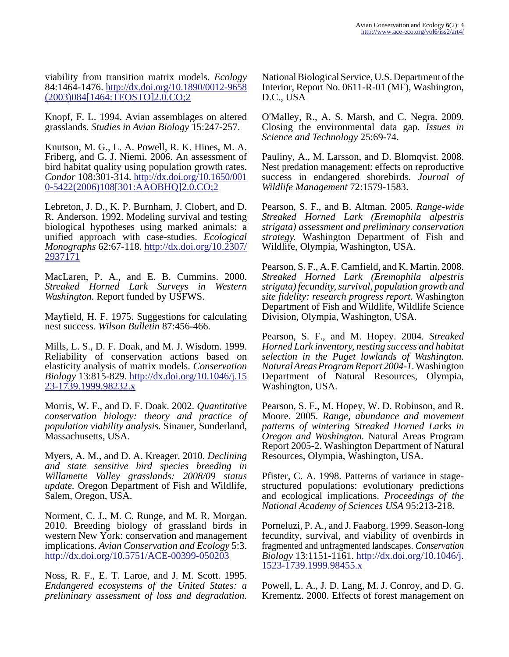viability from transition matrix models. *Ecology* 84:1464-1476. [http://dx.doi.org/10.1890/0012-9658](http://dx.doi.org/10.1890/0012-9658(2003)084[1464:TEOSTO]2.0.CO;2) [\(2003\)084\[1464:TEOSTO\]2.0.CO;2](http://dx.doi.org/10.1890/0012-9658(2003)084[1464:TEOSTO]2.0.CO;2)

Knopf, F. L. 1994. Avian assemblages on altered grasslands. *Studies in Avian Biology* 15:247-257.

Knutson, M. G., L. A. Powell, R. K. Hines, M. A. Friberg, and G. J. Niemi. 2006. An assessment of bird habitat quality using population growth rates. *Condor* 108:301-314. [http://dx.doi.org/10.1650/001](http://dx.doi.org/10.1650/0010-5422(2006)108[301:AAOBHQ]2.0.CO;2) [0-5422\(2006\)108\[301:AAOBHQ\]2.0.CO;2](http://dx.doi.org/10.1650/0010-5422(2006)108[301:AAOBHQ]2.0.CO;2)

Lebreton, J. D., K. P. Burnham, J. Clobert, and D. R. Anderson. 1992. Modeling survival and testing biological hypotheses using marked animals: a unified approach with case-studies. *Ecological Monographs* 62:67-118. [http://dx.doi.org/10.2307/](http://dx.doi.org/10.2307/2937171) [2937171](http://dx.doi.org/10.2307/2937171)

MacLaren, P. A., and E. B. Cummins. 2000. *Streaked Horned Lark Surveys in Western Washington.* Report funded by USFWS.

Mayfield, H. F. 1975. Suggestions for calculating nest success. *Wilson Bulletin* 87:456-466.

Mills, L. S., D. F. Doak, and M. J. Wisdom. 1999. Reliability of conservation actions based on elasticity analysis of matrix models. *Conservation Biology* 13:815-829. [http://dx.doi.org/10.1046/j.15](http://dx.doi.org/10.1046/j.1523-1739.1999.98232.x) [23-1739.1999.98232.x](http://dx.doi.org/10.1046/j.1523-1739.1999.98232.x)

Morris, W. F., and D. F. Doak. 2002. *Quantitative conservation biology: theory and practice of population viability analysis.* Sinauer, Sunderland, Massachusetts, USA.

Myers, A. M., and D. A. Kreager. 2010. *Declining and state sensitive bird species breeding in Willamette Valley grasslands: 2008/09 status update.* Oregon Department of Fish and Wildlife, Salem, Oregon, USA.

Norment, C. J., M. C. Runge, and M. R. Morgan. 2010. Breeding biology of grassland birds in western New York: conservation and management implications. *Avian Conservation and Ecology* 5:3. <http://dx.doi.org/10.5751/ACE-00399-050203>

Noss, R. F., E. T. Laroe, and J. M. Scott. 1995. *Endangered ecosystems of the United States: a preliminary assessment of loss and degradation.*

National Biological Service, U.S. Department of the Interior, Report No. 0611-R-01 (MF), Washington, D.C., USA

O'Malley, R., A. S. Marsh, and C. Negra. 2009. Closing the environmental data gap. *Issues in Science and Technology* 25:69-74.

Pauliny, A., M. Larsson, and D. Blomqvist. 2008. Nest predation management: effects on reproductive success in endangered shorebirds. *Journal of Wildlife Management* 72:1579-1583.

Pearson, S. F., and B. Altman. 2005. *Range-wide Streaked Horned Lark (Eremophila alpestris strigata) assessment and preliminary conservation strategy.* Washington Department of Fish and Wildlife, Olympia, Washington, USA.

Pearson, S. F., A. F. Camfield, and K. Martin. 2008. *Streaked Horned Lark (Eremophila alpestris strigata) fecundity, survival, population growth and site fidelity: research progress report.* Washington Department of Fish and Wildlife, Wildlife Science Division, Olympia, Washington, USA.

Pearson, S. F., and M. Hopey. 2004. *Streaked Horned Lark inventory, nesting success and habitat selection in the Puget lowlands of Washington. Natural Areas Program Report 2004-1.* Washington Department of Natural Resources, Olympia, Washington, USA.

Pearson, S. F., M. Hopey, W. D. Robinson, and R. Moore. 2005. *Range, abundance and movement patterns of wintering Streaked Horned Larks in Oregon and Washington.* Natural Areas Program Report 2005-2. Washington Department of Natural Resources, Olympia, Washington, USA.

Pfister, C. A. 1998. Patterns of variance in stagestructured populations: evolutionary predictions and ecological implications. *Proceedings of the National Academy of Sciences USA* 95:213-218.

Porneluzi, P. A., and J. Faaborg. 1999. Season-long fecundity, survival, and viability of ovenbirds in fragmented and unfragmented landscapes. *Conservation Biology* 13:1151-1161. [http://dx.doi.org/10.1046/j.](http://dx.doi.org/10.1046/j.1523-1739.1999.98455.x) [1523-1739.1999.98455.x](http://dx.doi.org/10.1046/j.1523-1739.1999.98455.x)

Powell, L. A., J. D. Lang, M. J. Conroy, and D. G. Krementz. 2000. Effects of forest management on